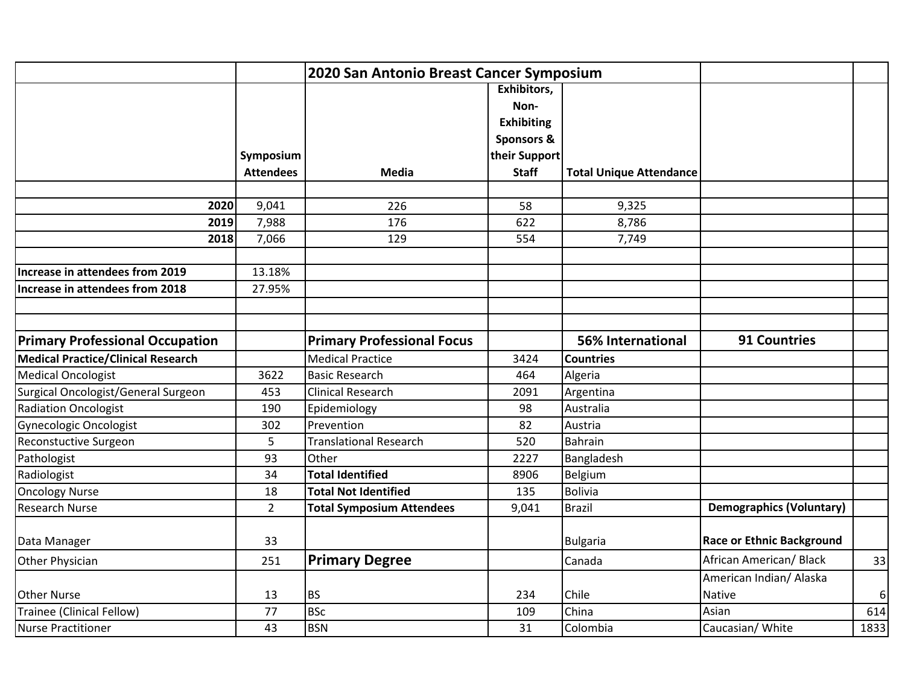|                                        |                  | 2020 San Antonio Breast Cancer Symposium |                       |                                |                                  |      |
|----------------------------------------|------------------|------------------------------------------|-----------------------|--------------------------------|----------------------------------|------|
|                                        |                  |                                          | Exhibitors,           |                                |                                  |      |
|                                        |                  |                                          | Non-                  |                                |                                  |      |
|                                        |                  |                                          | <b>Exhibiting</b>     |                                |                                  |      |
|                                        |                  |                                          | <b>Sponsors &amp;</b> |                                |                                  |      |
|                                        | Symposium        |                                          | their Support         |                                |                                  |      |
|                                        | <b>Attendees</b> | <b>Media</b>                             | <b>Staff</b>          | <b>Total Unique Attendance</b> |                                  |      |
|                                        |                  |                                          |                       |                                |                                  |      |
| 2020                                   | 9,041            | 226                                      | 58                    | 9,325                          |                                  |      |
| 2019                                   | 7,988            | 176                                      | 622                   | 8,786                          |                                  |      |
| 2018                                   | 7,066            | 129                                      | 554                   | 7,749                          |                                  |      |
|                                        |                  |                                          |                       |                                |                                  |      |
| Increase in attendees from 2019        | 13.18%           |                                          |                       |                                |                                  |      |
| Increase in attendees from 2018        | 27.95%           |                                          |                       |                                |                                  |      |
|                                        |                  |                                          |                       |                                |                                  |      |
|                                        |                  |                                          |                       |                                |                                  |      |
| <b>Primary Professional Occupation</b> |                  | <b>Primary Professional Focus</b>        |                       | <b>56% International</b>       | <b>91 Countries</b>              |      |
| Medical Practice/Clinical Research     |                  | <b>Medical Practice</b>                  | 3424                  | <b>Countries</b>               |                                  |      |
| <b>Medical Oncologist</b>              | 3622             | <b>Basic Research</b>                    | 464                   | Algeria                        |                                  |      |
| Surgical Oncologist/General Surgeon    | 453              | <b>Clinical Research</b>                 | 2091                  | Argentina                      |                                  |      |
| <b>Radiation Oncologist</b>            | 190              | Epidemiology                             | 98                    | Australia                      |                                  |      |
| Gynecologic Oncologist                 | 302              | Prevention                               | 82                    | Austria                        |                                  |      |
| Reconstuctive Surgeon                  | 5                | <b>Translational Research</b>            | 520                   | Bahrain                        |                                  |      |
| Pathologist                            | 93               | Other                                    | 2227                  | Bangladesh                     |                                  |      |
| Radiologist                            | 34               | <b>Total Identified</b>                  | 8906                  | Belgium                        |                                  |      |
| <b>Oncology Nurse</b>                  | 18               | <b>Total Not Identified</b>              | 135                   | <b>Bolivia</b>                 |                                  |      |
| <b>Research Nurse</b>                  | $\overline{2}$   | <b>Total Symposium Attendees</b>         | 9,041                 | <b>Brazil</b>                  | <b>Demographics (Voluntary)</b>  |      |
|                                        |                  |                                          |                       |                                |                                  |      |
| Data Manager                           | 33               |                                          |                       | <b>Bulgaria</b>                | <b>Race or Ethnic Background</b> |      |
| Other Physician                        | 251              | <b>Primary Degree</b>                    |                       | Canada                         | African American/ Black          | 33   |
|                                        |                  |                                          |                       |                                | American Indian/ Alaska          |      |
| <b>Other Nurse</b>                     | 13               | <b>BS</b>                                | 234                   | Chile                          | <b>Native</b>                    | 6    |
| Trainee (Clinical Fellow)              | 77               | <b>BSc</b>                               | 109                   | China                          | Asian                            | 614  |
| Nurse Practitioner                     | 43               | <b>BSN</b>                               | 31                    | Colombia                       | Caucasian/ White                 | 1833 |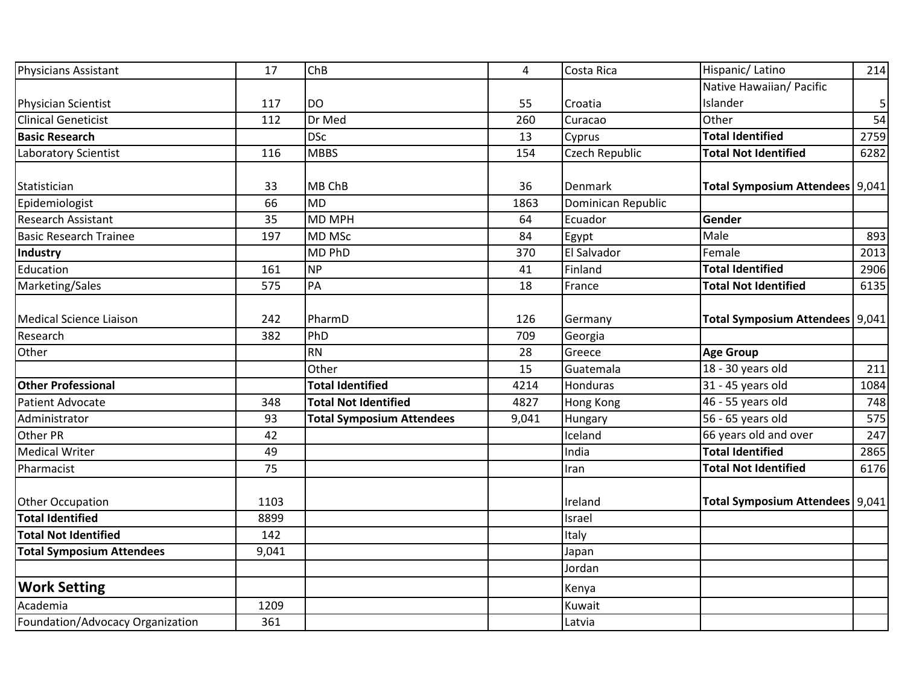| <b>Physicians Assistant</b>      | 17    | ChB                              | $\overline{4}$ | Costa Rica         | Hispanic/Latino                   | 214          |
|----------------------------------|-------|----------------------------------|----------------|--------------------|-----------------------------------|--------------|
|                                  |       |                                  |                |                    | Native Hawaiian/ Pacific          |              |
| Physician Scientist              | 117   | <b>DO</b>                        | 55             | Croatia            | Islander                          | $\mathbf{5}$ |
| <b>Clinical Geneticist</b>       | 112   | Dr Med                           | 260            | Curacao            | Other                             | 54           |
| <b>Basic Research</b>            |       | <b>DSc</b>                       | 13             | Cyprus             | <b>Total Identified</b>           | 2759         |
| <b>Laboratory Scientist</b>      | 116   | <b>MBBS</b>                      | 154            | Czech Republic     | <b>Total Not Identified</b>       | 6282         |
|                                  |       |                                  |                |                    |                                   |              |
| Statistician                     | 33    | MB ChB                           | 36             | Denmark            | Total Symposium Attendees   9,041 |              |
| Epidemiologist                   | 66    | <b>MD</b>                        | 1863           | Dominican Republic |                                   |              |
| <b>Research Assistant</b>        | 35    | <b>MD MPH</b>                    | 64             | Ecuador            | Gender                            |              |
| <b>Basic Research Trainee</b>    | 197   | <b>MD MSc</b>                    | 84             | Egypt              | Male                              | 893          |
| Industry                         |       | MD PhD                           | 370            | El Salvador        | Female                            | 2013         |
| Education                        | 161   | <b>NP</b>                        | 41             | Finland            | <b>Total Identified</b>           | 2906         |
| Marketing/Sales                  | 575   | PA                               | 18             | France             | <b>Total Not Identified</b>       | 6135         |
|                                  |       |                                  |                |                    |                                   |              |
| Medical Science Liaison          | 242   | PharmD                           | 126            | Germany            | <b>Total Symposium Attendees</b>  | 9,041        |
| Research                         | 382   | PhD                              | 709            | Georgia            |                                   |              |
| Other                            |       | <b>RN</b>                        | 28             | Greece             | <b>Age Group</b>                  |              |
|                                  |       | Other                            | 15             | Guatemala          | 18 - 30 years old                 | 211          |
| <b>Other Professional</b>        |       | <b>Total Identified</b>          | 4214           | Honduras           | 31 - 45 years old                 | 1084         |
| <b>Patient Advocate</b>          | 348   | <b>Total Not Identified</b>      | 4827           | Hong Kong          | 46 - 55 years old                 | 748          |
| Administrator                    | 93    | <b>Total Symposium Attendees</b> | 9,041          | Hungary            | 56 - 65 years old                 | 575          |
| Other PR                         | 42    |                                  |                | Iceland            | 66 years old and over             | 247          |
| <b>Medical Writer</b>            | 49    |                                  |                | India              | <b>Total Identified</b>           | 2865         |
| Pharmacist                       | 75    |                                  |                | Iran               | <b>Total Not Identified</b>       | 6176         |
|                                  |       |                                  |                |                    |                                   |              |
| <b>Other Occupation</b>          | 1103  |                                  |                | Ireland            | <b>Total Symposium Attendees</b>  | 9,041        |
| <b>Total Identified</b>          | 8899  |                                  |                | Israel             |                                   |              |
| <b>Total Not Identified</b>      | 142   |                                  |                | Italy              |                                   |              |
| <b>Total Symposium Attendees</b> | 9,041 |                                  |                | Japan              |                                   |              |
|                                  |       |                                  |                | Jordan             |                                   |              |
| <b>Work Setting</b>              |       |                                  |                | Kenya              |                                   |              |
| Academia                         | 1209  |                                  |                | Kuwait             |                                   |              |
| Foundation/Advocacy Organization | 361   |                                  |                | Latvia             |                                   |              |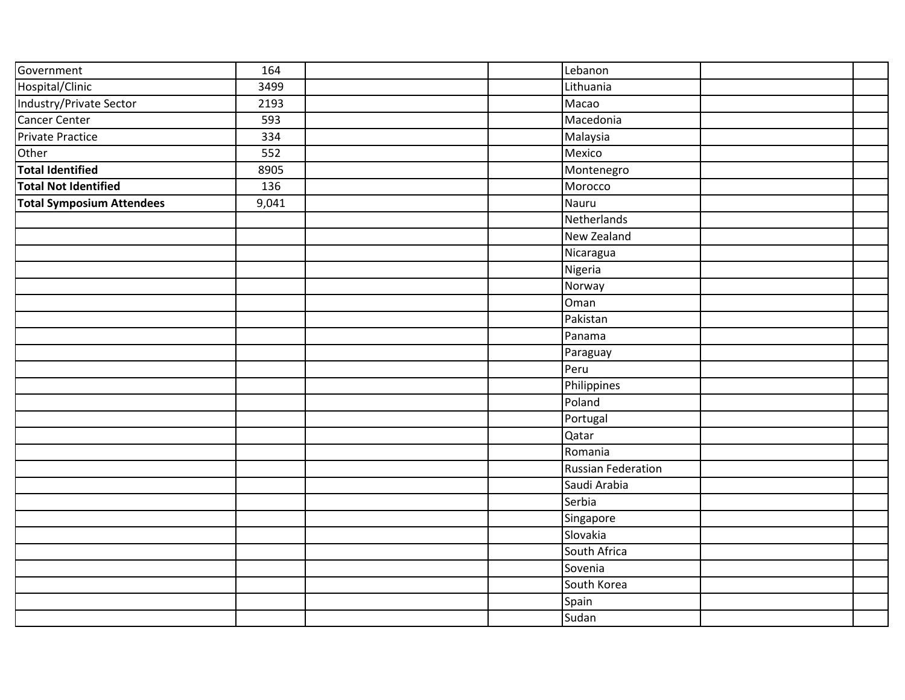| Government                       | 164              |  | Lebanon                   |  |
|----------------------------------|------------------|--|---------------------------|--|
| Hospital/Clinic                  | 3499             |  | Lithuania                 |  |
| Industry/Private Sector          | 2193             |  | Macao                     |  |
| Cancer Center                    | 593              |  | Macedonia                 |  |
| Private Practice                 | 334              |  | Malaysia                  |  |
| Other                            | $\overline{552}$ |  | Mexico                    |  |
| <b>Total Identified</b>          | 8905             |  | Montenegro                |  |
| <b>Total Not Identified</b>      | 136              |  | Morocco                   |  |
| <b>Total Symposium Attendees</b> | 9,041            |  | Nauru                     |  |
|                                  |                  |  | Netherlands               |  |
|                                  |                  |  | New Zealand               |  |
|                                  |                  |  | Nicaragua                 |  |
|                                  |                  |  | Nigeria                   |  |
|                                  |                  |  | Norway                    |  |
|                                  |                  |  | Oman                      |  |
|                                  |                  |  | Pakistan                  |  |
|                                  |                  |  | Panama                    |  |
|                                  |                  |  | Paraguay                  |  |
|                                  |                  |  | Peru                      |  |
|                                  |                  |  | Philippines               |  |
|                                  |                  |  | Poland                    |  |
|                                  |                  |  | Portugal                  |  |
|                                  |                  |  | Qatar                     |  |
|                                  |                  |  | Romania                   |  |
|                                  |                  |  | <b>Russian Federation</b> |  |
|                                  |                  |  | Saudi Arabia              |  |
|                                  |                  |  | Serbia                    |  |
|                                  |                  |  | Singapore                 |  |
|                                  |                  |  | Slovakia                  |  |
|                                  |                  |  | South Africa              |  |
|                                  |                  |  | Sovenia                   |  |
|                                  |                  |  | South Korea               |  |
|                                  |                  |  | Spain                     |  |
|                                  |                  |  | Sudan                     |  |